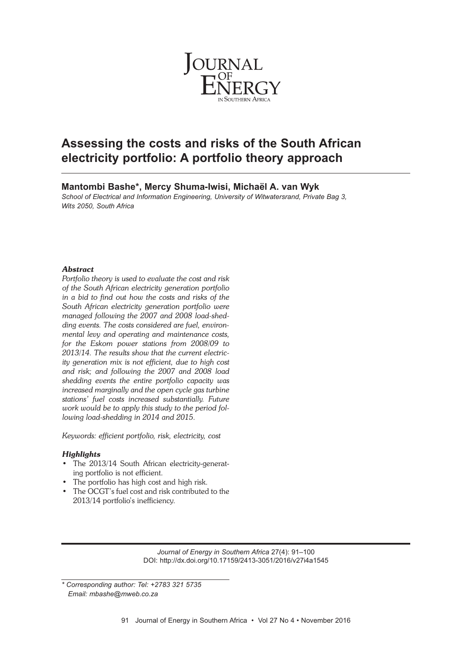

# **Assessing the costs and risks of the South African electricity portfolio: A portfolio theory approach**

**Mantombi Bashe\*, Mercy Shuma-Iwisi, Michaël A. van Wyk** *School of Electrical and Information Engineering, University of Witwatersrand, Private Bag 3, Wits 2050, South Africa*

# *Abstract*

*Portfolio theory is used to evaluate the cost and risk of the South African electricity generation portfolio in a bid to find out how the costs and risks of the South African electricity generation portfolio were managed following the 2007 and 2008 load-shedding events. The costs considered are fuel, environmental levy and operating and maintenance costs, for the Eskom power stations from 2008/09 to 2013/14. The results show that the current electricity generation mix is not efficient, due to high cost and risk; and following the 2007 and 2008 load shedding events the entire portfolio capacity was increased marginally and the open cycle gas turbine stations' fuel costs increased substantially. Future work would be to apply this study to the period following load-shedding in 2014 and 2015.*

*Keywords: efficient portfolio, risk, electricity, cost*

# *Highlights*

- The 2013/14 South African electricity-generating portfolio is not efficient.
- The portfolio has high cost and high risk.
- The OCGT's fuel cost and risk contributed to the 2013/14 portfolio's inefficiency.

*Journal of Energy in Southern Africa* 27(4): 91–100 DOI: http://dx.doi.org/10.17159/2413-3051/2016/v27i4a1545

*<sup>\*</sup> Corresponding author: Tel: +2783 321 5735 Email: mbashe@mweb.co.za*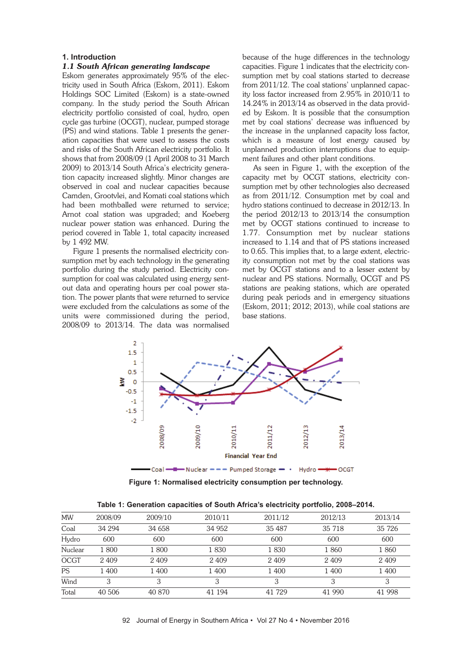## **1. Introduction**

### *1.1 South African generating landscape*

Eskom generates approximately 95% of the electricity used in South Africa (Eskom, 2011). Eskom Holdings SOC Limited (Eskom) is a state-owned company. In the study period the South African electricity portfolio consisted of coal, hydro, open cycle gas turbine (OCGT), nuclear, pumped storage (PS) and wind stations. Table 1 presents the generation capacities that were used to assess the costs and risks of the South African electricity portfolio. It shows that from 2008/09 (1 April 2008 to 31 March 2009) to 2013/14 South Africa's electricity generation capacity increased slightly. Minor changes are observed in coal and nuclear capacities because Camden, Grootvlei, and Komati coal stations which had been mothballed were returned to service; Arnot coal station was upgraded; and Koeberg nuclear power station was enhanced. During the period covered in Table 1, total capacity increased by 1 492 MW.

Figure 1 presents the normalised electricity consumption met by each technology in the generating portfolio during the study period. Electricity consumption for coal was calculated using energy sentout data and operating hours per coal power station. The power plants that were returned to service were excluded from the calculations as some of the units were commissioned during the period, 2008/09 to 2013/14. The data was normalised because of the huge differences in the technology capacities. Figure 1 indicates that the electricity consumption met by coal stations started to decrease from 2011/12. The coal stations' unplanned capacity loss factor increased from 2.95% in 2010/11 to 14.24% in 2013/14 as observed in the data provided by Eskom. It is possible that the consumption met by coal stations' decrease was influenced by the increase in the unplanned capacity loss factor, which is a measure of lost energy caused by unplanned production interruptions due to equipment failures and other plant conditions.

As seen in Figure 1, with the exception of the capacity met by OCGT stations, electricity consumption met by other technologies also decreased as from 2011/12. Consumption met by coal and hydro stations continued to decrease in 2012/13. In the period 2012/13 to 2013/14 the consumption met by OCGT stations continued to increase to 1.77. Consumption met by nuclear stations increased to 1.14 and that of PS stations increased to 0.65. This implies that, to a large extent, electricity consumption not met by the coal stations was met by OCGT stations and to a lesser extent by nuclear and PS stations. Normally, OCGT and PS stations are peaking stations, which are operated during peak periods and in emergency situations (Eskom, 2011; 2012; 2013), while coal stations are base stations.



**Figure 1: Normalised electricity consumption per technology.**

| Table 1: Generation capacities of South Africa's electricity portfolio, 2008–2014. |  |  |  |
|------------------------------------------------------------------------------------|--|--|--|
|                                                                                    |  |  |  |

| <b>MW</b>   | 2008/09 | 2009/10 | 2010/11 | 2011/12 | 2012/13 | 2013/14 |
|-------------|---------|---------|---------|---------|---------|---------|
| Coal        | 34 294  | 34 658  | 34 952  | 35 487  | 35 718  | 35 726  |
| Hydro       | 600     | 600     | 600     | 600     | 600     | 600     |
| Nuclear     | 1800    | 1800    | 1830    | 1830    | 1860    | 1860    |
| <b>OCGT</b> | 2 4 0 9 | 2 4 0 9 | 2 4 0 9 | 2 4 0 9 | 2 4 0 9 | 2 4 0 9 |
| <b>PS</b>   | 1 400   | 1 400   | 1 400   | 1 400   | 1 400   | 1 400   |
| Wind        | 3       | 3       | 3       | 3       | 3       | 3       |
| Total       | 40 50 6 | 40 870  | 41 194  | 41 729  | 41 990  | 41 998  |
|             |         |         |         |         |         |         |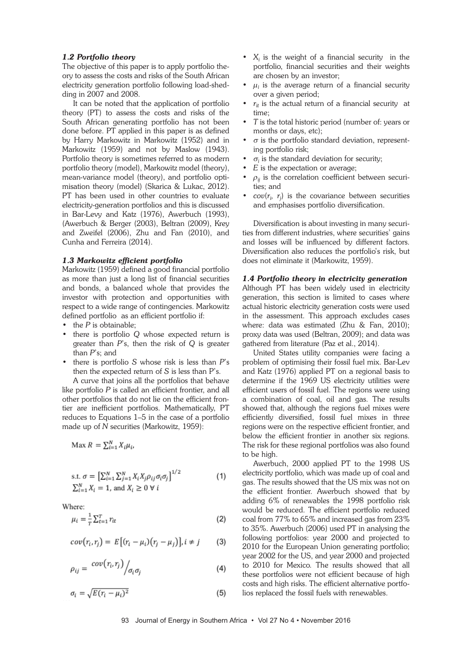# *1.2 Portfolio theory*

The objective of this paper is to apply portfolio theory to assess the costs and risks of the South African electricity generation portfolio following load-shedding in 2007 and 2008.

It can be noted that the application of portfolio theory (PT) to assess the costs and risks of the South African generating portfolio has not been done before. PT applied in this paper is as defined by Harry Markowitz in Markowitz (1952) and in Markowitz (1959) and not by Maslow (1943). Portfolio theory is sometimes referred to as modern portfolio theory (model), Markowitz model (theory), mean-variance model (theory), and portfolio optimisation theory (model) (Skarica & Lukac, 2012). PT has been used in other countries to evaluate electricity-generation portfolios and this is discussed in Bar-Levy and Katz (1976), Awerbuch (1993), (Awerbuch & Berger (2003), Beltran (2009), Krey and Zweifel (2006), Zhu and Fan (2010), and Cunha and Ferreira (2014).

#### *1.3 Markowitz efficient portfolio*

Markowitz (1959) defined a good financial portfolio as more than just a long list of financial securities and bonds, a balanced whole that provides the investor with protection and opportunities with respect to a wide range of contingencies. Markowitz defined portfolio as an efficient portfolio if:

- the *P* is obtainable;
- there is portfolio *Q* whose expected return is greater than *P*'s, then the risk of *Q* is greater than *P*'s; and
- there is portfolio *S* whose risk is less than *P*'s then the expected return of *S* is less than P's.

A curve that joins all the portfolios that behave like portfolio *P* is called an efficient frontier, and all other portfolios that do not lie on the efficient frontier are inefficient portfolios. Mathematically, PT reduces to Equations 1–5 in the case of a portfolio made up of *N* securities (Markowitz, 1959):

$$
ext{Max } R = \sum_{i=1}^{N} X_i \mu_i
$$

s.t. 
$$
\sigma = \left[\sum_{i=1}^{N} \sum_{j=1}^{N} X_i X_j \rho_{ij} \sigma_i \sigma_j\right]^{1/2}
$$
  
\n $\sum_{i=1}^{N} X_i = 1$ , and  $X_i \ge 0 \forall i$  (1)

Where:

$$
\mu_i = \frac{1}{T} \sum_{t=1}^T r_{it} \tag{2}
$$

$$
cov(r_i, r_j) = E[(r_i - \mu_i)(r_j - \mu_j)], i \neq j \qquad (3)
$$

$$
\rho_{ij} = \frac{cov(r_i, r_j)}{\sigma_i \sigma_j} \tag{4}
$$

$$
\sigma_i = \sqrt{E(r_i - \mu_i)^2} \tag{5}
$$

- $X_i$  is the weight of a financial security in the portfolio, financial securities and their weights are chosen by an investor;
- $\mu_i$  is the average return of a financial security over a given period;
- $r_{it}$  is the actual return of a financial security at time;
- *T* is the total historic period (number of: years or months or days, etc);
- $\sigma$  is the portfolio standard deviation, representing portfolio risk;
- $\sigma_i$  is the standard deviation for security;
- *E* is the expectation or average;
- $\rho_{ij}$  is the correlation coefficient between securities; and
- *cov*( $r_i$ ,  $r_j$ ) is the covariance between securities and emphasises portfolio diversification.

Diversification is about investing in many securities from different industries, where securities' gains and losses will be influenced by different factors. Diversification also reduces the portfolio's risk, but does not eliminate it (Markowitz, 1959).

#### *1.4 Portfolio theory in electricity generation*

Although PT has been widely used in electricity generation, this section is limited to cases where actual historic electricity generation costs were used in the assessment. This approach excludes cases where: data was estimated (Zhu & Fan, 2010); proxy data was used (Beltran, 2009); and data was gathered from literature (Paz et al., 2014).

United States utility companies were facing a problem of optimising their fossil fuel mix. Bar-Lev and Katz (1976) applied PT on a regional basis to determine if the 1969 US electricity utilities were efficient users of fossil fuel. The regions were using a combination of coal, oil and gas. The results showed that, although the regions fuel mixes were efficiently diversified, fossil fuel mixes in three regions were on the respective efficient frontier, and below the efficient frontier in another six regions. The risk for these regional portfolios was also found to be high.

Awerbuch, 2000 applied PT to the 1998 US electricity portfolio, which was made up of coal and gas. The results showed that the US mix was not on the efficient frontier. Awerbuch showed that by adding 6% of renewables the 1998 portfolio risk would be reduced. The efficient portfolio reduced coal from 77% to 65% and increased gas from 23% to 35%. Awerbuch (2006) used PT in analysing the following portfolios: year 2000 and projected to 2010 for the European Union generating portfolio; year 2002 for the US, and year 2000 and projected to 2010 for Mexico. The results showed that all these portfolios were not efficient because of high costs and high risks. The efficient alternative portfolios replaced the fossil fuels with renewables.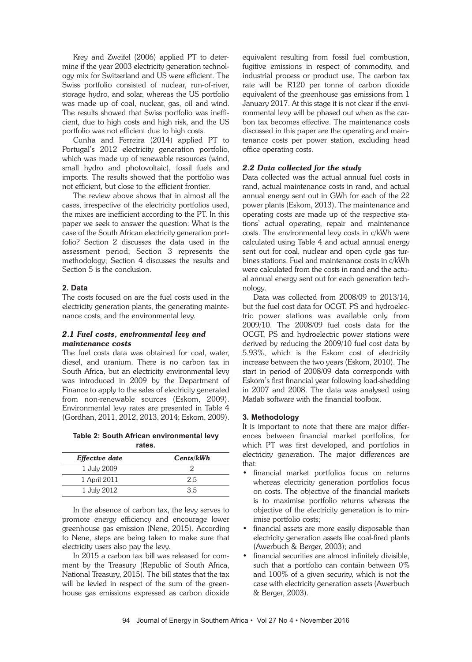Krey and Zweifel (2006) applied PT to determine if the year 2003 electricity generation technology mix for Switzerland and US were efficient. The Swiss portfolio consisted of nuclear, run-of-river, storage hydro, and solar, whereas the US portfolio was made up of coal, nuclear, gas, oil and wind. The results showed that Swiss portfolio was inefficient, due to high costs and high risk, and the US portfolio was not efficient due to high costs.

Cunha and Ferreira (2014) applied PT to Portugal's 2012 electricity generation portfolio, which was made up of renewable resources (wind, small hydro and photovoltaic), fossil fuels and imports. The results showed that the portfolio was not efficient, but close to the efficient frontier.

The review above shows that in almost all the cases, irrespective of the electricity portfolios used, the mixes are inefficient according to the PT. In this paper we seek to answer the question: What is the case of the South African electricity generation portfolio? Section 2 discusses the data used in the assessment period; Section 3 represents the methodology; Section 4 discusses the results and Section 5 is the conclusion.

## **2. Data**

The costs focused on are the fuel costs used in the electricity generation plants, the generating maintenance costs, and the environmental levy.

## *2.1 Fuel costs, environmental levy and maintenance costs*

The fuel costs data was obtained for coal, water, diesel, and uranium. There is no carbon tax in South Africa, but an electricity environmental levy was introduced in 2009 by the Department of Finance to apply to the sales of electricity generated from non-renewable sources (Eskom, 2009). Environmental levy rates are presented in Table 4 (Gordhan, 2011, 2012, 2013, 2014; Eskom, 2009).

**Table 2: South African environmental levy rates.**

| <b>Effective date</b> | Cents/kWh |
|-----------------------|-----------|
| 1 July 2009           |           |
| 1 April 2011          | 2.5       |
| 1 July 2012           | 35        |

In the absence of carbon tax, the levy serves to promote energy efficiency and encourage lower greenhouse gas emission (Nene, 2015). According to Nene, steps are being taken to make sure that electricity users also pay the levy.

In 2015 a carbon tax bill was released for comment by the Treasury (Republic of South Africa, National Treasury, 2015). The bill states that the tax will be levied in respect of the sum of the greenhouse gas emissions expressed as carbon dioxide

equivalent resulting from fossil fuel combustion, fugitive emissions in respect of commodity, and industrial process or product use. The carbon tax rate will be R120 per tonne of carbon dioxide equivalent of the greenhouse gas emissions from 1 January 2017. At this stage it is not clear if the environmental levy will be phased out when as the carbon tax becomes effective. The maintenance costs discussed in this paper are the operating and maintenance costs per power station, excluding head office operating costs.

# *2.2 Data collected for the study*

Data collected was the actual annual fuel costs in rand, actual maintenance costs in rand, and actual annual energy sent out in GWh for each of the 22 power plants (Eskom, 2013). The maintenance and operating costs are made up of the respective stations' actual operating, repair and maintenance costs. The environmental levy costs in c/kWh were calculated using Table 4 and actual annual energy sent out for coal, nuclear and open cycle gas turbines stations. Fuel and maintenance costs in c/kWh were calculated from the costs in rand and the actual annual energy sent out for each generation technology.

Data was collected from 2008/09 to 2013/14, but the fuel cost data for OCGT, PS and hydroelectric power stations was available only from 2009/10. The 2008/09 fuel costs data for the OCGT, PS and hydroelectric power stations were derived by reducing the 2009/10 fuel cost data by 5.93%, which is the Eskom cost of electricity increase between the two years (Eskom, 2010). The start in period of 2008/09 data corresponds with Eskom's first financial year following load-shedding in 2007 and 2008. The data was analysed using Matlab software with the financial toolbox.

# **3. Methodology**

It is important to note that there are major differences between financial market portfolios, for which PT was first developed, and portfolios in electricity generation. The major differences are that:

- financial market portfolios focus on returns whereas electricity generation portfolios focus on costs. The objective of the financial markets is to maximise portfolio returns whereas the objective of the electricity generation is to minimise portfolio costs;
- financial assets are more easily disposable than electricity generation assets like coal-fired plants (Awerbuch & Berger, 2003); and
- financial securities are almost infinitely divisible, such that a portfolio can contain between 0% and 100% of a given security, which is not the case with electricity generation assets (Awerbuch & Berger, 2003).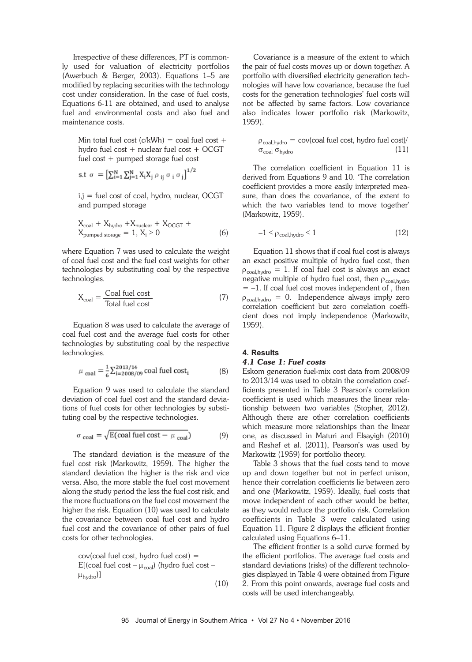Irrespective of these differences, PT is commonly used for valuation of electricity portfolios (Awerbuch & Berger, 2003). Equations 1–5 are modified by replacing securities with the technology cost under consideration. In the case of fuel costs, Equations 6-11 are obtained, and used to analyse fuel and environmental costs and also fuel and maintenance costs.

Min total fuel cost  $(c/kWh) = \text{coal fuel cost } +$  hydro fuel cost + nuclear fuel cost + OCGT fuel cost + pumped storage fuel cost

s.t 
$$
\sigma = \left[ \sum_{i=1}^{N} \sum_{j=1}^{N} X_i X_j \rho_{ij} \sigma_i \sigma_j \right]^{1/2}
$$

 $i,j$  = fuel cost of coal, hydro, nuclear, OCGT and pumped storage

$$
X_{\text{coal}} + X_{\text{hydro}} + X_{\text{nuclear}} + X_{\text{OCGT}} + X_{\text{pumped storage}} = 1, X_i \ge 0
$$
\n
$$
(6)
$$

where Equation 7 was used to calculate the weight of coal fuel cost and the fuel cost weights for other technologies by substituting coal by the respective technologies.

$$
X_{\text{coal}} = \frac{\text{Coal fuel cost}}{\text{Total fuel cost}}\tag{7}
$$

Equation 8 was used to calculate the average of coal fuel cost and the average fuel costs for other technologies by substituting coal by the respective technologies.

$$
\mu_{\text{coal}} = \frac{1}{6} \sum_{i=2008/09}^{2013/14} \text{coal fuel cost}_i \tag{8}
$$

Equation 9 was used to calculate the standard deviation of coal fuel cost and the standard deviations of fuel costs for other technologies by substituting coal by the respective technologies.

$$
\sigma_{\text{coal}} = \sqrt{E(\text{coal fuel cost} - \mu_{\text{coal}})}\tag{9}
$$

The standard deviation is the measure of the fuel cost risk (Markowitz, 1959). The higher the standard deviation the higher is the risk and vice versa. Also, the more stable the fuel cost movement along the study period the less the fuel cost risk, and the more fluctuations on the fuel cost movement the higher the risk. Equation (10) was used to calculate the covariance between coal fuel cost and hydro fuel cost and the covariance of other pairs of fuel costs for other technologies.

 cov(coal fuel cost, hydro fuel cost) = E[(coal fuel cost  $-\mu_{\text{coal}}$ ) (hydro fuel cost  $\mu_{\text{hydro}}$ )] (10)

Covariance is a measure of the extent to which the pair of fuel costs moves up or down together. A portfolio with diversified electricity generation technologies will have low covariance, because the fuel costs for the generation technologies' fuel costs will not be affected by same factors. Low covariance also indicates lower portfolio risk (Markowitz, 1959).

$$
\rho_{\text{coal},\text{hydro}} = \text{cov}(\text{coal fuel cost}, \text{hydro fuel cost}) / \sigma_{\text{coal}} \sigma_{\text{hydro}}
$$
\n(11)

The correlation coefficient in Equation 11 is derived from Equations 9 and 10. 'The correlation coefficient provides a more easily interpreted measure, than does the covariance, of the extent to which the two variables tend to move together' (Markowitz, 1959).

$$
-1 \leq \rho_{\text{coal},\text{hydro}} \leq 1 \tag{12}
$$

Equation 11 shows that if coal fuel cost is always an exact positive multiple of hydro fuel cost, then  $\rho_{\text{coal},\text{hydro}} = 1$ . If coal fuel cost is always an exact negative multiple of hydro fuel cost, then  $\rho_{\text{coal},\text{hydro}}$  $= -1$ . If coal fuel cost moves independent of, then  $\rho_{\text{coal},\text{hydro}} = 0$ . Independence always imply zero correlation coefficient but zero correlation coefficient does not imply independence (Markowitz, 1959).

# **4. Results** *4.1 Case 1: Fuel costs*

Eskom generation fuel-mix cost data from 2008/09 to 2013/14 was used to obtain the correlation coefficients presented in Table 3 Pearson's correlation coefficient is used which measures the linear relationship between two variables (Stopher, 2012). Although there are other correlation coefficients which measure more relationships than the linear one, as discussed in Maturi and Elsayigh (2010) and Reshef et al. (2011), Pearson's was used by Markowitz (1959) for portfolio theory.

Table 3 shows that the fuel costs tend to move up and down together but not in perfect unison, hence their correlation coefficients lie between zero and one (Markowitz, 1959). Ideally, fuel costs that move independent of each other would be better, as they would reduce the portfolio risk. Correlation coefficients in Table 3 were calculated using Equation 11. Figure 2 displays the efficient frontier calculated using Equations 6–11.

The efficient frontier is a solid curve formed by the efficient portfolios. The average fuel costs and standard deviations (risks) of the different technologies displayed in Table 4 were obtained from Figure 2. From this point onwards, average fuel costs and costs will be used interchangeably.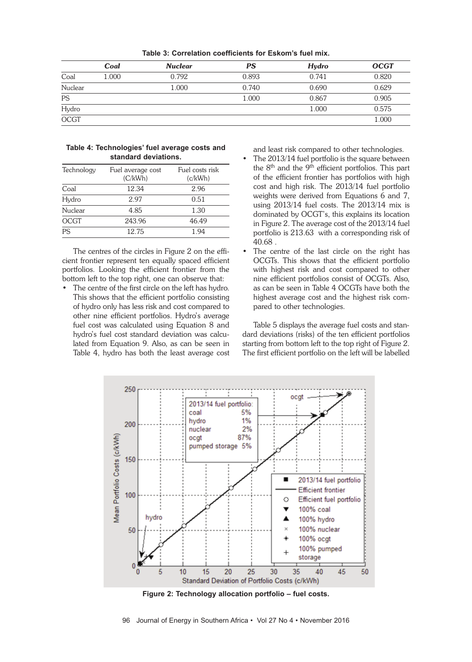|             | Coal  | <b>Nuclear</b> | PS    | Hydro | <b>OCGT</b> |
|-------------|-------|----------------|-------|-------|-------------|
| Coal        | 1.000 | 0.792          | 0.893 | 0.741 | 0.820       |
| Nuclear     |       | 1.000          | 0.740 | 0.690 | 0.629       |
| PS          |       |                | 1.000 | 0.867 | 0.905       |
| Hydro       |       |                |       | 1.000 | 0.575       |
| <b>OCGT</b> |       |                |       |       | 1.000       |

**Table 3: Correlation coefficients for Eskom's fuel mix.**

#### **Table 4: Technologies' fuel average costs and standard deviations.**

| Technology  | Fuel average cost<br>(C/kWh) | Fuel costs risk<br>(c/kWh) |
|-------------|------------------------------|----------------------------|
| Coal        | 12.34                        | 2.96                       |
| Hydro       | 2.97                         | 0.51                       |
| Nuclear     | 4.85                         | 1.30                       |
| <b>OCGT</b> | 243.96                       | 46.49                      |
| PS          | 12.75                        | 1 94                       |

The centres of the circles in Figure 2 on the efficient frontier represent ten equally spaced efficient portfolios. Looking the efficient frontier from the bottom left to the top right, one can observe that:

• The centre of the first circle on the left has hydro. This shows that the efficient portfolio consisting of hydro only has less risk and cost compared to other nine efficient portfolios. Hydro's average fuel cost was calculated using Equation 8 and hydro's fuel cost standard deviation was calculated from Equation 9. Also, as can be seen in Table 4, hydro has both the least average cost

and least risk compared to other technologies.

- The 2013/14 fuel portfolio is the square between the 8<sup>th</sup> and the 9<sup>th</sup> efficient portfolios. This part of the efficient frontier has portfolios with high cost and high risk. The 2013/14 fuel portfolio weights were derived from Equations 6 and 7, using 2013/14 fuel costs. The 2013/14 mix is dominated by OCGT's, this explains its location in Figure 2. The average cost of the 2013/14 fuel portfolio is 213.63 with a corresponding risk of 40.68 .
- The centre of the last circle on the right has OCGTs. This shows that the efficient portfolio with highest risk and cost compared to other nine efficient portfolios consist of OCGTs. Also, as can be seen in Table 4 OCGTs have both the highest average cost and the highest risk compared to other technologies.

Table 5 displays the average fuel costs and standard deviations (risks) of the ten efficient portfolios starting from bottom left to the top right of Figure 2. The first efficient portfolio on the left will be labelled



**Figure 2: Technology allocation portfolio – fuel costs.**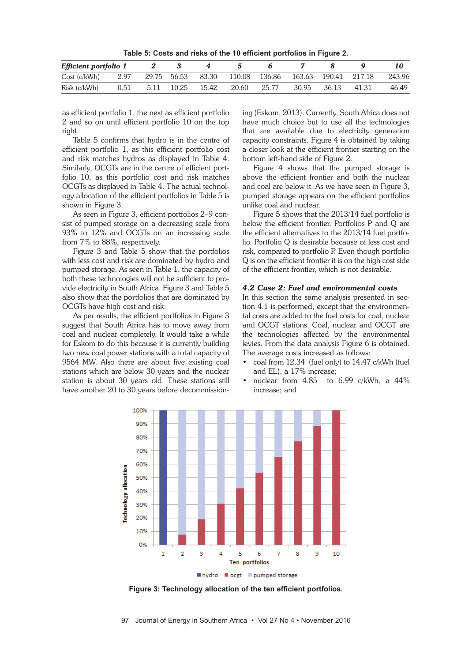**Table 5: Costs and risks of the 10 efficient portfolios in Figure 2.**

| Efficient portfolio 1 |      |       |             |       |        |        |       |                      |       |        |
|-----------------------|------|-------|-------------|-------|--------|--------|-------|----------------------|-------|--------|
| Cost(c/kWh)           | 2.97 |       | 29.75 56.53 | 83.30 | 110.08 | 136.86 |       | 163.63 190.41 217.18 |       | 243.96 |
| Risk (c/kWh)          | 0.51 | -5.11 | 10.25       | 15.42 | 20.60  | 25.77  | 30.95 | 36.13                | 41.31 | 46.49  |

as efficient portfolio 1, the next as efficient portfolio 2 and so on until efficient portfolio 10 on the top right.

Table 5 confirms that hydro is in the centre of efficient portfolio 1, as this efficient portfolio cost and risk matches hydros as displayed in Table 4. Similarly, OCGTs are in the centre of efficient portfolio 10, as this portfolio cost and risk matches OCGTs as displayed in Table 4. The actual technology allocation of the efficient portfolios in Table 5 is shown in Figure 3.

As seen in Figure 3, efficient portfolios 2–9 consist of pumped storage on a decreasing scale from 93% to 12% and OCGTs on an increasing scale from 7% to 88%, respectively.

Figure 3 and Table 5 show that the portfolios with less cost and risk are dominated by hydro and pumped storage. As seen in Table 1, the capacity of both these technologies will not be sufficient to provide electricity in South Africa. Figure 3 and Table 5 also show that the portfolios that are dominated by OCGTs have high cost and risk.

As per results, the efficient portfolios in Figure 3 suggest that South Africa has to move away from coal and nuclear completely. It would take a while for Eskom to do this because it is currently building two new coal power stations with a total capacity of 9564 MW. Also there are about five existing coal stations which are below 30 years and the nuclear station is about 30 years old. These stations still have another 20 to 30 years before decommissioning (Eskom, 2013). Currently, South Africa does not have much choice but to use all the technologies that are available due to electricity generation capacity constraints. Figure 4 is obtained by taking a closer look at the efficient frontier starting on the bottom left-hand side of Figure 2.

Figure 4 shows that the pumped storage is above the efficient frontier and both the nuclear and coal are below it. As we have seen in Figure 3, pumped storage appears on the efficient portfolios unlike coal and nuclear.

Figure 5 shows that the 2013/14 fuel portfolio is below the efficient frontier. Portfolios P and Q are the efficient alternatives to the 2013/14 fuel portfolio. Portfolio Q is desirable because of less cost and risk, compared to portfolio P. Even though portfolio Q is on the efficient frontier it is on the high cost side of the efficient frontier, which is not desirable.

#### *4.2 Case 2: Fuel and environmental costs*

In this section the same analysis presented in section 4.1 is performed, except that the environmental costs are added to the fuel costs for coal, nuclear and OCGT stations. Coal, nuclear and OCGT are the technologies affected by the environmental levies. From the data analysis Figure 6 is obtained. The average costs increased as follows:

- coal from 12.34 (fuel only) to 14.47 c/kWh (fuel and EL), a 17% increase;
- nuclear from 4.85 to 6.99 c/kWh, a 44% increase; and



**Figure 3: Technology allocation of the ten efficient portfolios.**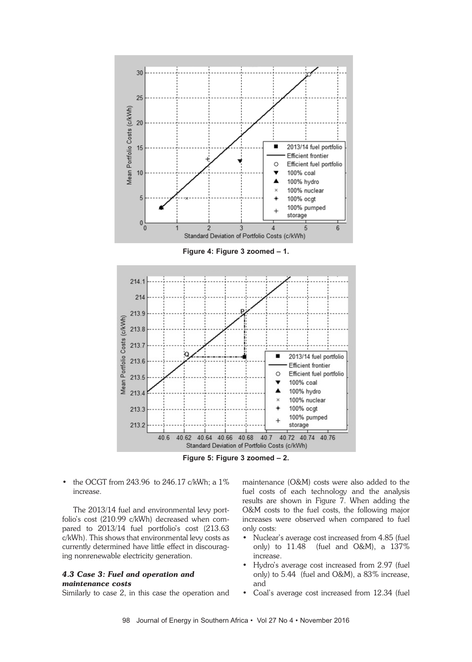



**Figure 5: Figure 3 zoomed – 2.**

• the OCGT from 243.96 to 246.17 c/kWh; a 1% increase.

The 2013/14 fuel and environmental levy portfolio's cost (210.99 c/kWh) decreased when compared to 2013/14 fuel portfolio's cost (213.63 c/kWh). This shows that environmental levy costs as currently determined have little effect in discouraging nonrenewable electricity generation.

# *4.3 Case 3: Fuel and operation and maintenance costs*

Similarly to case 2, in this case the operation and

maintenance (O&M) costs were also added to the fuel costs of each technology and the analysis results are shown in Figure 7. When adding the O&M costs to the fuel costs, the following major increases were observed when compared to fuel only costs:

- Nuclear's average cost increased from 4.85 (fuel only) to 11.48 (fuel and O&M), a 137% increase.
- Hydro's average cost increased from 2.97 (fuel only) to 5.44 (fuel and O&M), a 83% increase, and
- Coal's average cost increased from 12.34 (fuel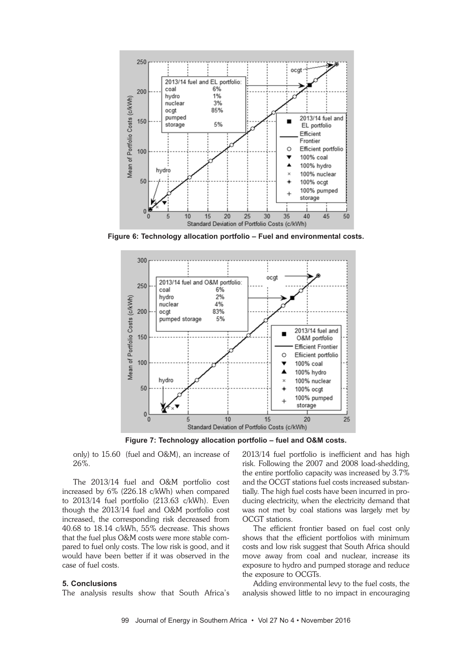

**Figure 6: Technology allocation portfolio – Fuel and environmental costs.**



**Figure 7: Technology allocation portfolio – fuel and O&M costs.**

only) to 15.60 (fuel and O&M), an increase of 26%.

The 2013/14 fuel and O&M portfolio cost increased by 6% (226.18 c/kWh) when compared to 2013/14 fuel portfolio (213.63 c/kWh). Even though the 2013/14 fuel and O&M portfolio cost increased, the corresponding risk decreased from 40.68 to 18.14 c/kWh, 55% decrease. This shows that the fuel plus O&M costs were more stable compared to fuel only costs. The low risk is good, and it would have been better if it was observed in the case of fuel costs.

#### **5. Conclusions**

The analysis results show that South Africa's

2013/14 fuel portfolio is inefficient and has high risk. Following the 2007 and 2008 load-shedding, the entire portfolio capacity was increased by 3.7% and the OCGT stations fuel costs increased substantially. The high fuel costs have been incurred in producing electricity, when the electricity demand that was not met by coal stations was largely met by OCGT stations.

The efficient frontier based on fuel cost only shows that the efficient portfolios with minimum costs and low risk suggest that South Africa should move away from coal and nuclear, increase its exposure to hydro and pumped storage and reduce the exposure to OCGTs.

Adding environmental levy to the fuel costs, the analysis showed little to no impact in encouraging